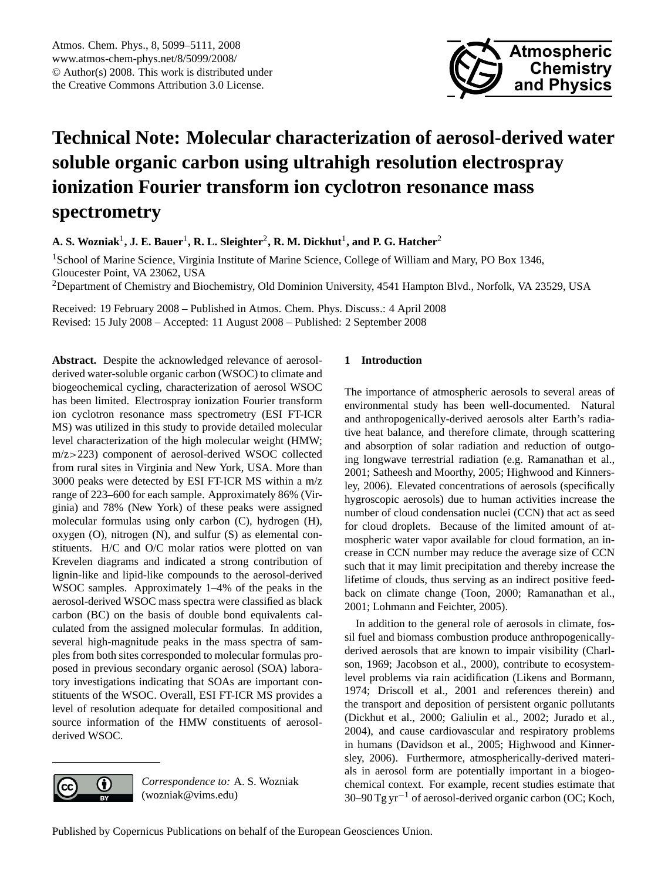

# <span id="page-0-0"></span>**Technical Note: Molecular characterization of aerosol-derived water soluble organic carbon using ultrahigh resolution electrospray ionization Fourier transform ion cyclotron resonance mass spectrometry**

 $\mathbf{A}.$   $\mathbf{S}.$  Wozniak $^1, \mathbf{J}.$   $\mathbf{E}.$  Bauer $^1, \mathbf{R}.$   $\mathbf{L}.$  Sleighter $^2, \mathbf{R}.$   $\mathbf{M}.$  Dickhut $^1,$  and  $\mathbf{P}.$   $\mathbf{G}.$  Hatcher $^2$ 

<sup>1</sup>School of Marine Science, Virginia Institute of Marine Science, College of William and Mary, PO Box 1346, Gloucester Point, VA 23062, USA

<sup>2</sup>Department of Chemistry and Biochemistry, Old Dominion University, 4541 Hampton Blvd., Norfolk, VA 23529, USA

Received: 19 February 2008 – Published in Atmos. Chem. Phys. Discuss.: 4 April 2008 Revised: 15 July 2008 – Accepted: 11 August 2008 – Published: 2 September 2008

**Abstract.** Despite the acknowledged relevance of aerosolderived water-soluble organic carbon (WSOC) to climate and biogeochemical cycling, characterization of aerosol WSOC has been limited. Electrospray ionization Fourier transform ion cyclotron resonance mass spectrometry (ESI FT-ICR MS) was utilized in this study to provide detailed molecular level characterization of the high molecular weight (HMW; m/z>223) component of aerosol-derived WSOC collected from rural sites in Virginia and New York, USA. More than 3000 peaks were detected by ESI FT-ICR MS within a m/z range of 223–600 for each sample. Approximately 86% (Virginia) and 78% (New York) of these peaks were assigned molecular formulas using only carbon (C), hydrogen (H), oxygen (O), nitrogen (N), and sulfur (S) as elemental constituents. H/C and O/C molar ratios were plotted on van Krevelen diagrams and indicated a strong contribution of lignin-like and lipid-like compounds to the aerosol-derived WSOC samples. Approximately 1–4% of the peaks in the aerosol-derived WSOC mass spectra were classified as black carbon (BC) on the basis of double bond equivalents calculated from the assigned molecular formulas. In addition, several high-magnitude peaks in the mass spectra of samples from both sites corresponded to molecular formulas proposed in previous secondary organic aerosol (SOA) laboratory investigations indicating that SOAs are important constituents of the WSOC. Overall, ESI FT-ICR MS provides a level of resolution adequate for detailed compositional and source information of the HMW constituents of aerosolderived WSOC.

# **1 Introduction**

The importance of atmospheric aerosols to several areas of environmental study has been well-documented. Natural and anthropogenically-derived aerosols alter Earth's radiative heat balance, and therefore climate, through scattering and absorption of solar radiation and reduction of outgoing longwave terrestrial radiation (e.g. Ramanathan et al., 2001; Satheesh and Moorthy, 2005; Highwood and Kinnersley, 2006). Elevated concentrations of aerosols (specifically hygroscopic aerosols) due to human activities increase the number of cloud condensation nuclei (CCN) that act as seed for cloud droplets. Because of the limited amount of atmospheric water vapor available for cloud formation, an increase in CCN number may reduce the average size of CCN such that it may limit precipitation and thereby increase the lifetime of clouds, thus serving as an indirect positive feedback on climate change (Toon, 2000; Ramanathan et al., 2001; Lohmann and Feichter, 2005).

In addition to the general role of aerosols in climate, fossil fuel and biomass combustion produce anthropogenicallyderived aerosols that are known to impair visibility (Charlson, 1969; Jacobson et al., 2000), contribute to ecosystemlevel problems via rain acidification (Likens and Bormann, 1974; Driscoll et al., 2001 and references therein) and the transport and deposition of persistent organic pollutants (Dickhut et al., 2000; Galiulin et al., 2002; Jurado et al., 2004), and cause cardiovascular and respiratory problems in humans (Davidson et al., 2005; Highwood and Kinnersley, 2006). Furthermore, atmospherically-derived materials in aerosol form are potentially important in a biogeochemical context. For example, recent studies estimate that 30–90 Tg yr−<sup>1</sup> of aerosol-derived organic carbon (OC; Koch,



*Correspondence to:* A. S. Wozniak (wozniak@vims.edu)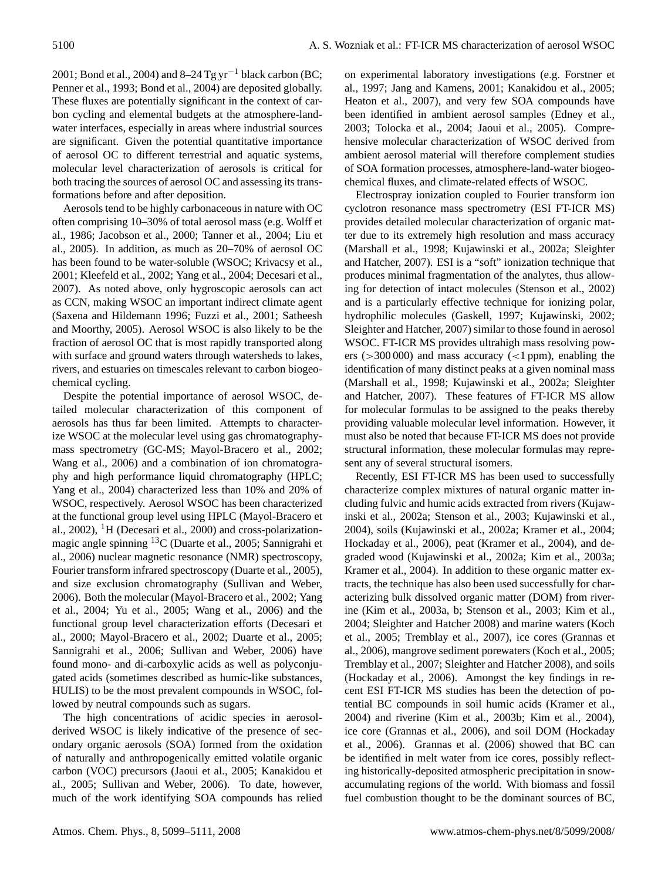2001; Bond et al., 2004) and 8–24 Tg yr<sup>-1</sup> black carbon (BC; Penner et al., 1993; Bond et al., 2004) are deposited globally. These fluxes are potentially significant in the context of carbon cycling and elemental budgets at the atmosphere-landwater interfaces, especially in areas where industrial sources are significant. Given the potential quantitative importance of aerosol OC to different terrestrial and aquatic systems, molecular level characterization of aerosols is critical for both tracing the sources of aerosol OC and assessing its transformations before and after deposition.

Aerosols tend to be highly carbonaceous in nature with OC often comprising 10–30% of total aerosol mass (e.g. Wolff et al., 1986; Jacobson et al., 2000; Tanner et al., 2004; Liu et al., 2005). In addition, as much as 20–70% of aerosol OC has been found to be water-soluble (WSOC; Krivacsy et al., 2001; Kleefeld et al., 2002; Yang et al., 2004; Decesari et al., 2007). As noted above, only hygroscopic aerosols can act as CCN, making WSOC an important indirect climate agent (Saxena and Hildemann 1996; Fuzzi et al., 2001; Satheesh and Moorthy, 2005). Aerosol WSOC is also likely to be the fraction of aerosol OC that is most rapidly transported along with surface and ground waters through watersheds to lakes, rivers, and estuaries on timescales relevant to carbon biogeochemical cycling.

Despite the potential importance of aerosol WSOC, detailed molecular characterization of this component of aerosols has thus far been limited. Attempts to characterize WSOC at the molecular level using gas chromatographymass spectrometry (GC-MS; Mayol-Bracero et al., 2002; Wang et al., 2006) and a combination of ion chromatography and high performance liquid chromatography (HPLC; Yang et al., 2004) characterized less than 10% and 20% of WSOC, respectively. Aerosol WSOC has been characterized at the functional group level using HPLC (Mayol-Bracero et al., 2002),  ${}^{1}H$  (Decesari et al., 2000) and cross-polarizationmagic angle spinning <sup>13</sup>C (Duarte et al., 2005; Sannigrahi et al., 2006) nuclear magnetic resonance (NMR) spectroscopy, Fourier transform infrared spectroscopy (Duarte et al., 2005), and size exclusion chromatography (Sullivan and Weber, 2006). Both the molecular (Mayol-Bracero et al., 2002; Yang et al., 2004; Yu et al., 2005; Wang et al., 2006) and the functional group level characterization efforts (Decesari et al., 2000; Mayol-Bracero et al., 2002; Duarte et al., 2005; Sannigrahi et al., 2006; Sullivan and Weber, 2006) have found mono- and di-carboxylic acids as well as polyconjugated acids (sometimes described as humic-like substances, HULIS) to be the most prevalent compounds in WSOC, followed by neutral compounds such as sugars.

The high concentrations of acidic species in aerosolderived WSOC is likely indicative of the presence of secondary organic aerosols (SOA) formed from the oxidation of naturally and anthropogenically emitted volatile organic carbon (VOC) precursors (Jaoui et al., 2005; Kanakidou et al., 2005; Sullivan and Weber, 2006). To date, however, much of the work identifying SOA compounds has relied on experimental laboratory investigations (e.g. Forstner et al., 1997; Jang and Kamens, 2001; Kanakidou et al., 2005; Heaton et al., 2007), and very few SOA compounds have been identified in ambient aerosol samples (Edney et al., 2003; Tolocka et al., 2004; Jaoui et al., 2005). Comprehensive molecular characterization of WSOC derived from ambient aerosol material will therefore complement studies of SOA formation processes, atmosphere-land-water biogeochemical fluxes, and climate-related effects of WSOC.

Electrospray ionization coupled to Fourier transform ion cyclotron resonance mass spectrometry (ESI FT-ICR MS) provides detailed molecular characterization of organic matter due to its extremely high resolution and mass accuracy (Marshall et al., 1998; Kujawinski et al., 2002a; Sleighter and Hatcher, 2007). ESI is a "soft" ionization technique that produces minimal fragmentation of the analytes, thus allowing for detection of intact molecules (Stenson et al., 2002) and is a particularly effective technique for ionizing polar, hydrophilic molecules (Gaskell, 1997; Kujawinski, 2002; Sleighter and Hatcher, 2007) similar to those found in aerosol WSOC. FT-ICR MS provides ultrahigh mass resolving powers ( $>$ 300 000) and mass accuracy ( $<$ 1 ppm), enabling the identification of many distinct peaks at a given nominal mass (Marshall et al., 1998; Kujawinski et al., 2002a; Sleighter and Hatcher, 2007). These features of FT-ICR MS allow for molecular formulas to be assigned to the peaks thereby providing valuable molecular level information. However, it must also be noted that because FT-ICR MS does not provide structural information, these molecular formulas may represent any of several structural isomers.

Recently, ESI FT-ICR MS has been used to successfully characterize complex mixtures of natural organic matter including fulvic and humic acids extracted from rivers (Kujawinski et al., 2002a; Stenson et al., 2003; Kujawinski et al., 2004), soils (Kujawinski et al., 2002a; Kramer et al., 2004; Hockaday et al., 2006), peat (Kramer et al., 2004), and degraded wood (Kujawinski et al., 2002a; Kim et al., 2003a; Kramer et al., 2004). In addition to these organic matter extracts, the technique has also been used successfully for characterizing bulk dissolved organic matter (DOM) from riverine (Kim et al., 2003a, b; Stenson et al., 2003; Kim et al., 2004; Sleighter and Hatcher 2008) and marine waters (Koch et al., 2005; Tremblay et al., 2007), ice cores (Grannas et al., 2006), mangrove sediment porewaters (Koch et al., 2005; Tremblay et al., 2007; Sleighter and Hatcher 2008), and soils (Hockaday et al., 2006). Amongst the key findings in recent ESI FT-ICR MS studies has been the detection of potential BC compounds in soil humic acids (Kramer et al., 2004) and riverine (Kim et al., 2003b; Kim et al., 2004), ice core (Grannas et al., 2006), and soil DOM (Hockaday et al., 2006). Grannas et al. (2006) showed that BC can be identified in melt water from ice cores, possibly reflecting historically-deposited atmospheric precipitation in snowaccumulating regions of the world. With biomass and fossil fuel combustion thought to be the dominant sources of BC,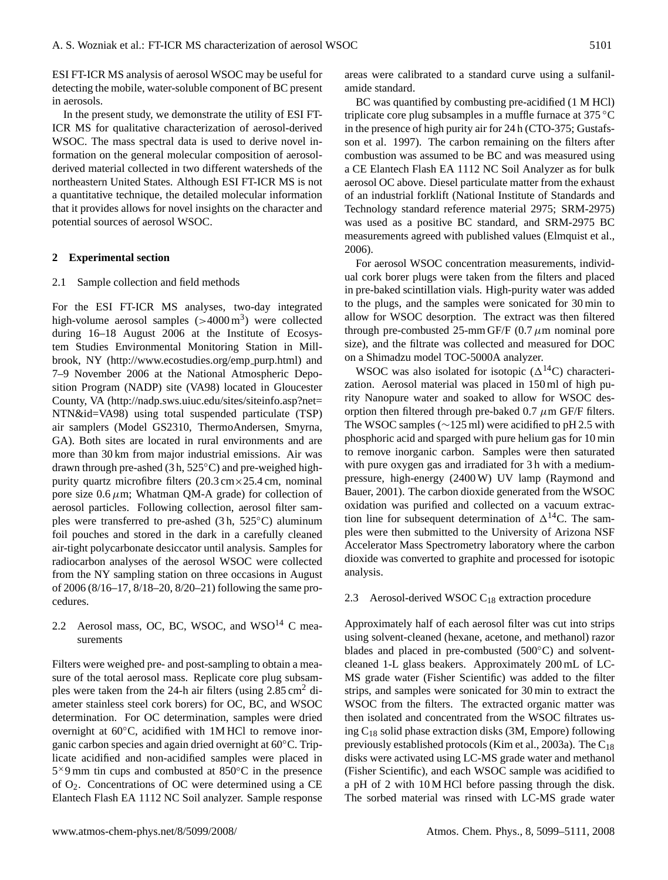ESI FT-ICR MS analysis of aerosol WSOC may be useful for detecting the mobile, water-soluble component of BC present in aerosols.

In the present study, we demonstrate the utility of ESI FT-ICR MS for qualitative characterization of aerosol-derived WSOC. The mass spectral data is used to derive novel information on the general molecular composition of aerosolderived material collected in two different watersheds of the northeastern United States. Although ESI FT-ICR MS is not a quantitative technique, the detailed molecular information that it provides allows for novel insights on the character and potential sources of aerosol WSOC.

#### **2 Experimental section**

## 2.1 Sample collection and field methods

For the ESI FT-ICR MS analyses, two-day integrated high-volume aerosol samples  $(>4000 \,\mathrm{m}^3)$  were collected during 16–18 August 2006 at the Institute of Ecosystem Studies Environmental Monitoring Station in Millbrook, NY [\(http://www.ecostudies.org/emp](http://www.ecostudies.org/emp_purp.html) purp.html) and 7–9 November 2006 at the National Atmospheric Deposition Program (NADP) site (VA98) located in Gloucester County, VA [\(http://nadp.sws.uiuc.edu/sites/siteinfo.asp?net=](http://nadp.sws.uiuc.edu/sites/siteinfo.asp?net=NTN&id=VA98) [NTN&id=VA98\)](http://nadp.sws.uiuc.edu/sites/siteinfo.asp?net=NTN&id=VA98) using total suspended particulate (TSP) air samplers (Model GS2310, ThermoAndersen, Smyrna, GA). Both sites are located in rural environments and are more than 30 km from major industrial emissions. Air was drawn through pre-ashed (3 h, 525◦C) and pre-weighed highpurity quartz microfibre filters  $(20.3 \text{ cm} \times 25.4 \text{ cm}, \text{nominal})$ pore size  $0.6 \mu m$ ; Whatman QM-A grade) for collection of aerosol particles. Following collection, aerosol filter samples were transferred to pre-ashed (3 h, 525◦C) aluminum foil pouches and stored in the dark in a carefully cleaned air-tight polycarbonate desiccator until analysis. Samples for radiocarbon analyses of the aerosol WSOC were collected from the NY sampling station on three occasions in August of 2006 (8/16–17, 8/18–20, 8/20–21) following the same procedures.

2.2 Aerosol mass, OC, BC, WSOC, and WSO $^{14}$  C measurements

Filters were weighed pre- and post-sampling to obtain a measure of the total aerosol mass. Replicate core plug subsamples were taken from the 24-h air filters (using  $2.85 \text{ cm}^2$  diameter stainless steel cork borers) for OC, BC, and WSOC determination. For OC determination, samples were dried overnight at 60◦C, acidified with 1M HCl to remove inorganic carbon species and again dried overnight at 60◦C. Triplicate acidified and non-acidified samples were placed in 5<sup>×9</sup> mm tin cups and combusted at 850°C in the presence of O2. Concentrations of OC were determined using a CE Elantech Flash EA 1112 NC Soil analyzer. Sample response

BC was quantified by combusting pre-acidified (1 M HCl) triplicate core plug subsamples in a muffle furnace at 375 ◦C in the presence of high purity air for 24 h (CTO-375; Gustafsson et al. 1997). The carbon remaining on the filters after combustion was assumed to be BC and was measured using a CE Elantech Flash EA 1112 NC Soil Analyzer as for bulk aerosol OC above. Diesel particulate matter from the exhaust of an industrial forklift (National Institute of Standards and Technology standard reference material 2975; SRM-2975) was used as a positive BC standard, and SRM-2975 BC measurements agreed with published values (Elmquist et al., 2006).

For aerosol WSOC concentration measurements, individual cork borer plugs were taken from the filters and placed in pre-baked scintillation vials. High-purity water was added to the plugs, and the samples were sonicated for 30 min to allow for WSOC desorption. The extract was then filtered through pre-combusted 25-mm GF/F  $(0.7 \mu m)$  nominal pore size), and the filtrate was collected and measured for DOC on a Shimadzu model TOC-5000A analyzer.

WSOC was also isolated for isotopic  $(\Delta^{14}C)$  characterization. Aerosol material was placed in 150 ml of high purity Nanopure water and soaked to allow for WSOC desorption then filtered through pre-baked 0.7  $\mu$ m GF/F filters. The WSOC samples (∼125 ml) were acidified to pH 2.5 with phosphoric acid and sparged with pure helium gas for 10 min to remove inorganic carbon. Samples were then saturated with pure oxygen gas and irradiated for 3 h with a mediumpressure, high-energy (2400 W) UV lamp (Raymond and Bauer, 2001). The carbon dioxide generated from the WSOC oxidation was purified and collected on a vacuum extraction line for subsequent determination of  $\Delta^{14}$ C. The samples were then submitted to the University of Arizona NSF Accelerator Mass Spectrometry laboratory where the carbon dioxide was converted to graphite and processed for isotopic analysis.

## 2.3 Aerosol-derived WSOC  $C_{18}$  extraction procedure

Approximately half of each aerosol filter was cut into strips using solvent-cleaned (hexane, acetone, and methanol) razor blades and placed in pre-combusted (500◦C) and solventcleaned 1-L glass beakers. Approximately 200 mL of LC-MS grade water (Fisher Scientific) was added to the filter strips, and samples were sonicated for 30 min to extract the WSOC from the filters. The extracted organic matter was then isolated and concentrated from the WSOC filtrates using  $C_{18}$  solid phase extraction disks (3M, Empore) following previously established protocols (Kim et al., 2003a). The  $C_{18}$ disks were activated using LC-MS grade water and methanol (Fisher Scientific), and each WSOC sample was acidified to a pH of 2 with 10 M HCl before passing through the disk. The sorbed material was rinsed with LC-MS grade water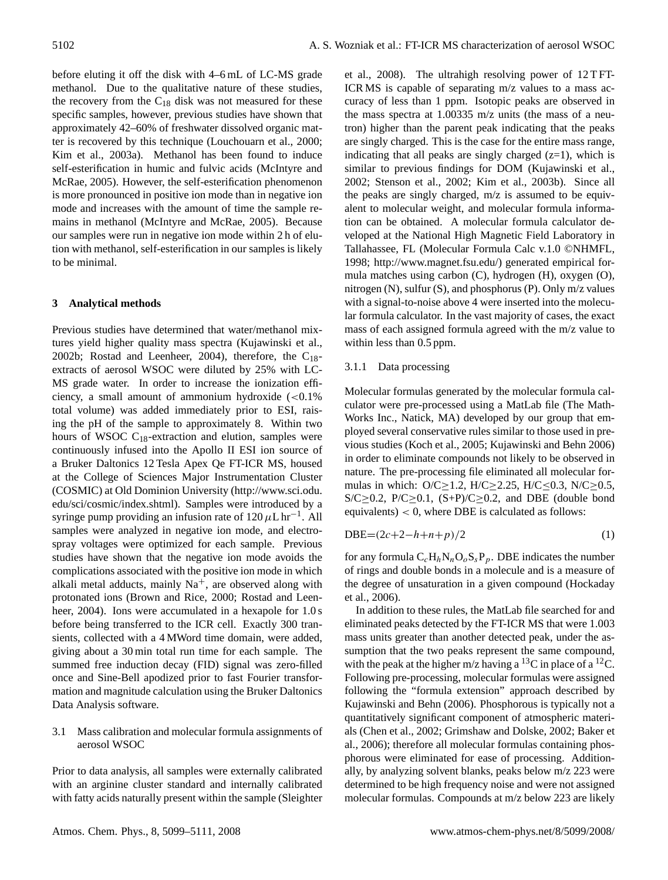before eluting it off the disk with 4–6 mL of LC-MS grade methanol. Due to the qualitative nature of these studies, the recovery from the  $C_{18}$  disk was not measured for these specific samples, however, previous studies have shown that approximately 42–60% of freshwater dissolved organic matter is recovered by this technique (Louchouarn et al., 2000; Kim et al., 2003a). Methanol has been found to induce self-esterification in humic and fulvic acids (McIntyre and McRae, 2005). However, the self-esterification phenomenon is more pronounced in positive ion mode than in negative ion mode and increases with the amount of time the sample remains in methanol (McIntyre and McRae, 2005). Because our samples were run in negative ion mode within 2 h of elution with methanol, self-esterification in our samples is likely to be minimal.

# **3 Analytical methods**

Previous studies have determined that water/methanol mixtures yield higher quality mass spectra (Kujawinski et al., 2002b; Rostad and Leenheer, 2004), therefore, the C18 extracts of aerosol WSOC were diluted by 25% with LC-MS grade water. In order to increase the ionization efficiency, a small amount of ammonium hydroxide  $(<0.1\%$ total volume) was added immediately prior to ESI, raising the pH of the sample to approximately 8. Within two hours of WSOC  $C_{18}$ -extraction and elution, samples were continuously infused into the Apollo II ESI ion source of a Bruker Daltonics 12 Tesla Apex Qe FT-ICR MS, housed at the College of Sciences Major Instrumentation Cluster (COSMIC) at Old Dominion University [\(http://www.sci.odu.](http://www.sci.odu.edu/sci/cosmic/index.shtml) [edu/sci/cosmic/index.shtml\)](http://www.sci.odu.edu/sci/cosmic/index.shtml). Samples were introduced by a syringe pump providing an infusion rate of  $120 \mu L$  hr<sup>-1</sup>. All samples were analyzed in negative ion mode, and electrospray voltages were optimized for each sample. Previous studies have shown that the negative ion mode avoids the complications associated with the positive ion mode in which alkali metal adducts, mainly  $Na<sup>+</sup>$ , are observed along with protonated ions (Brown and Rice, 2000; Rostad and Leenheer, 2004). Ions were accumulated in a hexapole for  $1.0 s$ before being transferred to the ICR cell. Exactly 300 transients, collected with a 4 MWord time domain, were added, giving about a 30 min total run time for each sample. The summed free induction decay (FID) signal was zero-filled once and Sine-Bell apodized prior to fast Fourier transformation and magnitude calculation using the Bruker Daltonics Data Analysis software.

# 3.1 Mass calibration and molecular formula assignments of aerosol WSOC

Prior to data analysis, all samples were externally calibrated with an arginine cluster standard and internally calibrated with fatty acids naturally present within the sample (Sleighter et al., 2008). The ultrahigh resolving power of 12 T FT-ICR MS is capable of separating m/z values to a mass accuracy of less than 1 ppm. Isotopic peaks are observed in the mass spectra at 1.00335 m/z units (the mass of a neutron) higher than the parent peak indicating that the peaks are singly charged. This is the case for the entire mass range, indicating that all peaks are singly charged  $(z=1)$ , which is similar to previous findings for DOM (Kujawinski et al., 2002; Stenson et al., 2002; Kim et al., 2003b). Since all the peaks are singly charged, m/z is assumed to be equivalent to molecular weight, and molecular formula information can be obtained. A molecular formula calculator developed at the National High Magnetic Field Laboratory in Tallahassee, FL (Molecular Formula Calc v.1.0 ©NHMFL, 1998; [http://www.magnet.fsu.edu/\)](http://www.magnet.fsu.edu/) generated empirical formula matches using carbon (C), hydrogen (H), oxygen (O), nitrogen (N), sulfur (S), and phosphorus (P). Only m/z values with a signal-to-noise above 4 were inserted into the molecular formula calculator. In the vast majority of cases, the exact mass of each assigned formula agreed with the m/z value to within less than 0.5 ppm.

# 3.1.1 Data processing

Molecular formulas generated by the molecular formula calculator were pre-processed using a MatLab file (The Math-Works Inc., Natick, MA) developed by our group that employed several conservative rules similar to those used in previous studies (Koch et al., 2005; Kujawinski and Behn 2006) in order to eliminate compounds not likely to be observed in nature. The pre-processing file eliminated all molecular formulas in which:  $O/C \ge 1.2$ ,  $H/C \ge 2.25$ ,  $H/C \le 0.3$ ,  $N/C \ge 0.5$ ,  $S/C \geq 0.2$ ,  $P/C \geq 0.1$ ,  $(S+P)/C \geq 0.2$ , and DBE (double bond equivalents)  $< 0$ , where DBE is calculated as follows:

$$
DBE = (2c + 2 - h + n + p)/2
$$
 (1)

for any formula  $C_cH_hN_nO_oS_sP_p$ . DBE indicates the number of rings and double bonds in a molecule and is a measure of the degree of unsaturation in a given compound (Hockaday et al., 2006).

In addition to these rules, the MatLab file searched for and eliminated peaks detected by the FT-ICR MS that were 1.003 mass units greater than another detected peak, under the assumption that the two peaks represent the same compound, with the peak at the higher m/z having a <sup>13</sup>C in place of a <sup>12</sup>C. Following pre-processing, molecular formulas were assigned following the "formula extension" approach described by Kujawinski and Behn (2006). Phosphorous is typically not a quantitatively significant component of atmospheric materials (Chen et al., 2002; Grimshaw and Dolske, 2002; Baker et al., 2006); therefore all molecular formulas containing phosphorous were eliminated for ease of processing. Additionally, by analyzing solvent blanks, peaks below m/z 223 were determined to be high frequency noise and were not assigned molecular formulas. Compounds at m/z below 223 are likely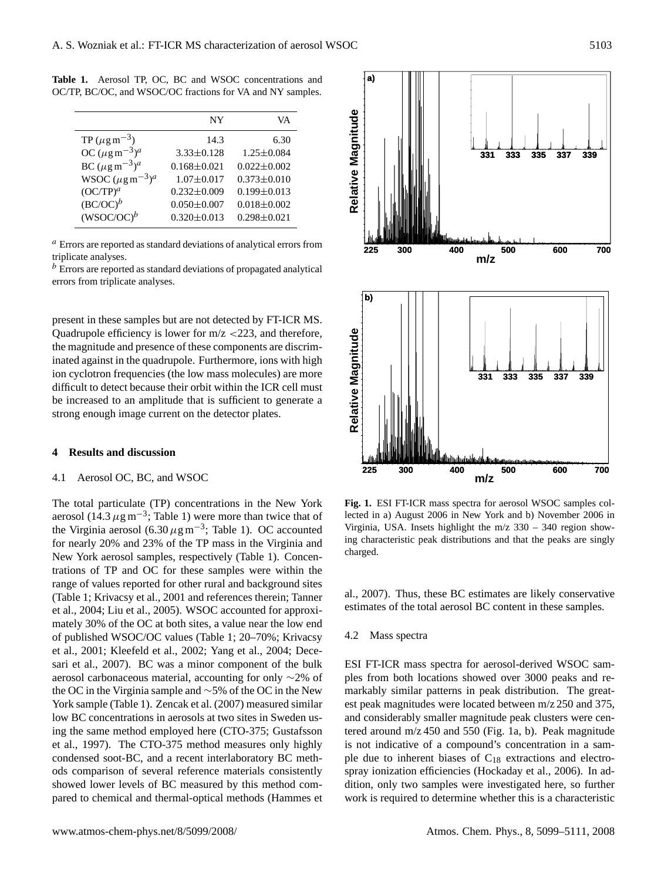|                                | NY                | VA                |
|--------------------------------|-------------------|-------------------|
| TP ( $\mu$ g m <sup>-3</sup> ) | 14.3              | 6.30              |
| OC $(\mu \text{g m}^{-3})^a$   | $3.33 \pm 0.128$  | $1.25 \pm 0.084$  |
| BC $(\mu \text{g m}^{-3})^a$   | $0.168 \pm 0.021$ | $0.022 \pm 0.002$ |
| WSOC $(\mu \text{g m}^{-3})^a$ | $1.07 \pm 0.017$  | $0.373 \pm 0.010$ |
| $(OC/TP)^a$                    | $0.232 \pm 0.009$ | $0.199 \pm 0.013$ |
| $(BC/OC)^b$                    | $0.050 \pm 0.007$ | $0.018 \pm 0.002$ |
| $(WSOC/OC)^b$                  | $0.320 \pm 0.013$ | $0.298 \pm 0.021$ |
|                                |                   |                   |

**Table 1.** Aerosol TP, OC, BC and WSOC concentrations and OC/TP, BC/OC, and WSOC/OC fractions for VA and NY samples.

<sup>a</sup> Errors are reported as standard deviations of analytical errors from triplicate analyses.

 $<sup>b</sup>$  Errors are reported as standard deviations of propagated analytical</sup> errors from triplicate analyses.

present in these samples but are not detected by FT-ICR MS. Quadrupole efficiency is lower for  $m/z < 223$ , and therefore, the magnitude and presence of these components are discriminated against in the quadrupole. Furthermore, ions with high ion cyclotron frequencies (the low mass molecules) are more difficult to detect because their orbit within the ICR cell must be increased to an amplitude that is sufficient to generate a strong enough image current on the detector plates.

#### **4 Results and discussion**

#### 4.1 Aerosol OC, BC, and WSOC

The total particulate (TP) concentrations in the New York aerosol (14.3  $\mu$ g m<sup>-3</sup>; Table 1) were more than twice that of the Virginia aerosol (6.30  $\mu$ g m<sup>-3</sup>; Table 1). OC accounted for nearly 20% and 23% of the TP mass in the Virginia and New York aerosol samples, respectively (Table 1). Concentrations of TP and OC for these samples were within the range of values reported for other rural and background sites (Table 1; Krivacsy et al., 2001 and references therein; Tanner et al., 2004; Liu et al., 2005). WSOC accounted for approximately 30% of the OC at both sites, a value near the low end of published WSOC/OC values (Table 1; 20–70%; Krivacsy et al., 2001; Kleefeld et al., 2002; Yang et al., 2004; Decesari et al., 2007). BC was a minor component of the bulk aerosol carbonaceous material, accounting for only ∼2% of the OC in the Virginia sample and ∼5% of the OC in the New York sample (Table 1). Zencak et al. (2007) measured similar low BC concentrations in aerosols at two sites in Sweden using the same method employed here (CTO-375; Gustafsson et al., 1997). The CTO-375 method measures only highly condensed soot-BC, and a recent interlaboratory BC methods comparison of several reference materials consistently showed lower levels of BC measured by this method compared to chemical and thermal-optical methods (Hammes et



**Fig. 1.** ESI FT-ICR mass spectra for aerosol WSOC samples collected in a) August 2006 in New York and b) November 2006 in Virginia, USA. Insets highlight the m/z 330 – 340 region showing characteristic peak distributions and that the peaks are singly charged.

al., 2007). Thus, these BC estimates are likely conservative estimates of the total aerosol BC content in these samples.

#### 4.2 Mass spectra

ESI FT-ICR mass spectra for aerosol-derived WSOC samples from both locations showed over 3000 peaks and remarkably similar patterns in peak distribution. The greatest peak magnitudes were located between m/z 250 and 375, and considerably smaller magnitude peak clusters were centered around m/z 450 and 550 (Fig. 1a, b). Peak magnitude is not indicative of a compound's concentration in a sample due to inherent biases of  $C_{18}$  extractions and electrospray ionization efficiencies (Hockaday et al., 2006). In addition, only two samples were investigated here, so further work is required to determine whether this is a characteristic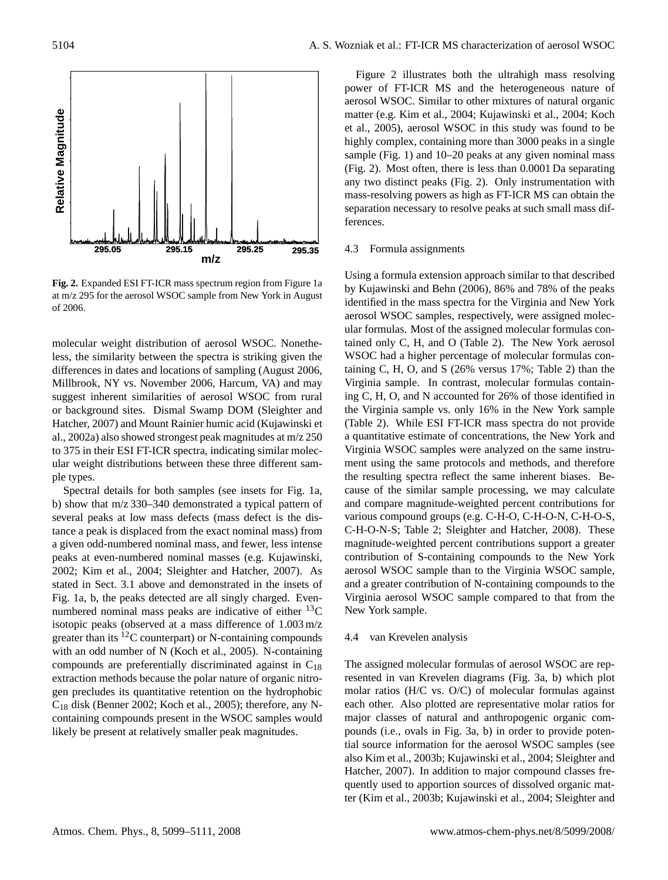

**Fig. 2.** Expanded ESI FT-ICR mass spectrum region from Figure 1a at m/z 295 for the aerosol WSOC sample from New York in August of 2006.

molecular weight distribution of aerosol WSOC. Nonetheless, the similarity between the spectra is striking given the differences in dates and locations of sampling (August 2006, Millbrook, NY vs. November 2006, Harcum, VA) and may suggest inherent similarities of aerosol WSOC from rural or background sites. Dismal Swamp DOM (Sleighter and Hatcher, 2007) and Mount Rainier humic acid (Kujawinski et al., 2002a) also showed strongest peak magnitudes at m/z 250 to 375 in their ESI FT-ICR spectra, indicating similar molecular weight distributions between these three different sample types.

Spectral details for both samples (see insets for Fig. 1a, b) show that m/z 330–340 demonstrated a typical pattern of several peaks at low mass defects (mass defect is the distance a peak is displaced from the exact nominal mass) from a given odd-numbered nominal mass, and fewer, less intense peaks at even-numbered nominal masses (e.g. Kujawinski, 2002; Kim et al., 2004; Sleighter and Hatcher, 2007). As stated in Sect. 3.1 above and demonstrated in the insets of Fig. 1a, b, the peaks detected are all singly charged. Evennumbered nominal mass peaks are indicative of either  $^{13}$ C isotopic peaks (observed at a mass difference of 1.003 m/z greater than its <sup>12</sup>C counterpart) or N-containing compounds with an odd number of N (Koch et al., 2005). N-containing compounds are preferentially discriminated against in  $C_{18}$ extraction methods because the polar nature of organic nitrogen precludes its quantitative retention on the hydrophobic C<sup>18</sup> disk (Benner 2002; Koch et al., 2005); therefore, any Ncontaining compounds present in the WSOC samples would likely be present at relatively smaller peak magnitudes.

Figure 2 illustrates both the ultrahigh mass resolving power of FT-ICR MS and the heterogeneous nature of aerosol WSOC. Similar to other mixtures of natural organic matter (e.g. Kim et al., 2004; Kujawinski et al., 2004; Koch et al., 2005), aerosol WSOC in this study was found to be highly complex, containing more than 3000 peaks in a single sample (Fig. 1) and 10–20 peaks at any given nominal mass (Fig. 2). Most often, there is less than 0.0001 Da separating any two distinct peaks (Fig. 2). Only instrumentation with mass-resolving powers as high as FT-ICR MS can obtain the separation necessary to resolve peaks at such small mass differences.

#### 4.3 Formula assignments

C-H-O-N-S; Table 2; Sleighter and Hatcher, 2008). These Using a formula extension approach similar to that described by Kujawinski and Behn (2006), 86% and 78% of the peaks identified in the mass spectra for the Virginia and New York aerosol WSOC samples, respectively, were assigned molecular formulas. Most of the assigned molecular formulas contained only C, H, and O (Table 2). The New York aerosol WSOC had a higher percentage of molecular formulas containing C, H, O, and S (26% versus 17%; Table 2) than the Virginia sample. In contrast, molecular formulas containing C, H, O, and N accounted for 26% of those identified in the Virginia sample vs. only 16% in the New York sample (Table 2). While ESI FT-ICR mass spectra do not provide a quantitative estimate of concentrations, the New York and Virginia WSOC samples were analyzed on the same instrument using the same protocols and methods, and therefore the resulting spectra reflect the same inherent biases. Because of the similar sample processing, we may calculate and compare magnitude-weighted percent contributions for various compound groups (e.g. C-H-O, C-H-O-N, C-H-O-S, magnitude-weighted percent contributions support a greater contribution of S-containing compounds to the New York aerosol WSOC sample than to the Virginia WSOC sample, and a greater contribution of N-containing compounds to the Virginia aerosol WSOC sample compared to that from the New York sample.

## 4.4 van Krevelen analysis

The assigned molecular formulas of aerosol WSOC are represented in van Krevelen diagrams (Fig. 3a, b) which plot molar ratios (H/C vs. O/C) of molecular formulas against each other. Also plotted are representative molar ratios for major classes of natural and anthropogenic organic compounds (i.e., ovals in Fig. 3a, b) in order to provide potential source information for the aerosol WSOC samples (see also Kim et al., 2003b; Kujawinski et al., 2004; Sleighter and Hatcher, 2007). In addition to major compound classes frequently used to apportion sources of dissolved organic matter (Kim et al., 2003b; Kujawinski et al., 2004; Sleighter and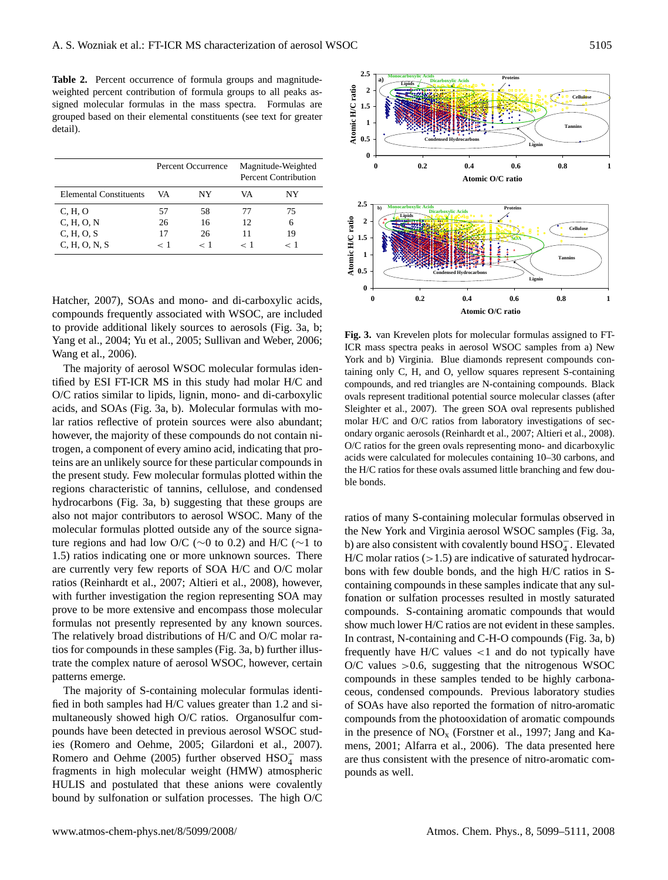**Table 2.** Percent occurrence of formula groups and magnitudeweighted percent contribution of formula groups to all peaks assigned molecular formulas in the mass spectra. Formulas are grouped based on their elemental constituents (see text for greater detail).

|                               | Percent Occurrence |          | Magnitude-Weighted<br>Percent Contribution |     |
|-------------------------------|--------------------|----------|--------------------------------------------|-----|
| <b>Elemental Constituents</b> | VA.                | NΥ       | VA                                         | NY  |
| C, H, O                       | 57                 | 58       | 77                                         | 75  |
| C, H, O, N                    | 26                 | 16       | 12                                         | 6   |
| C, H, O, S                    | 17                 | 26       | 11                                         | 19  |
| C, H, O, N, S                 | < 1                | $\geq 1$ | - 1                                        | - 1 |

Hatcher, 2007), SOAs and mono- and di-carboxylic acids, compounds frequently associated with WSOC, are included to provide additional likely sources to aerosols (Fig. 3a, b; Yang et al., 2004; Yu et al., 2005; Sullivan and Weber, 2006; Wang et al., 2006).

The majority of aerosol WSOC molecular formulas identified by ESI FT-ICR MS in this study had molar H/C and O/C ratios similar to lipids, lignin, mono- and di-carboxylic acids, and SOAs (Fig. 3a, b). Molecular formulas with molar ratios reflective of protein sources were also abundant; however, the majority of these compounds do not contain nitrogen, a component of every amino acid, indicating that proteins are an unlikely source for these particular compounds in the present study. Few molecular formulas plotted within the regions characteristic of tannins, cellulose, and condensed hydrocarbons (Fig. 3a, b) suggesting that these groups are also not major contributors to aerosol WSOC. Many of the molecular formulas plotted outside any of the source signature regions and had low O/C ( $\sim$ 0 to 0.2) and H/C ( $\sim$ 1 to 1.5) ratios indicating one or more unknown sources. There are currently very few reports of SOA H/C and O/C molar ratios (Reinhardt et al., 2007; Altieri et al., 2008), however, with further investigation the region representing SOA may prove to be more extensive and encompass those molecular formulas not presently represented by any known sources. The relatively broad distributions of H/C and O/C molar ratios for compounds in these samples (Fig. 3a, b) further illustrate the complex nature of aerosol WSOC, however, certain patterns emerge.

The majority of S-containing molecular formulas identified in both samples had H/C values greater than 1.2 and simultaneously showed high O/C ratios. Organosulfur compounds have been detected in previous aerosol WSOC studies (Romero and Oehme, 2005; Gilardoni et al., 2007). Romero and Oehme (2005) further observed  $HSO_4^-$  mass fragments in high molecular weight (HMW) atmospheric HULIS and postulated that these anions were covalently bound by sulfonation or sulfation processes. The high O/C



O/C ratios for the green ovals representing mono- and dicarboxylic **Fig. 3.** van Krevelen plots for molecular formulas assigned to FT-ICR mass spectra peaks in aerosol WSOC samples from a) New York and b) Virginia. Blue diamonds represent compounds containing only C, H, and O, yellow squares represent S-containing compounds, and red triangles are N-containing compounds. Black ovals represent traditional potential source molecular classes (after Sleighter et al., 2007). The green SOA oval represents published molar H/C and O/C ratios from laboratory investigations of secondary organic aerosols (Reinhardt et al., 2007; Altieri et al., 2008). acids were calculated for molecules containing 10–30 carbons, and the H/C ratios for these ovals assumed little branching and few double bonds.

ratios of many S-containing molecular formulas observed in the New York and Virginia aerosol WSOC samples (Fig. 3a, b) are also consistent with covalently bound  $\text{HSO}_4^-$ . Elevated  $H/C$  molar ratios ( $>1.5$ ) are indicative of saturated hydrocarbons with few double bonds, and the high H/C ratios in Scontaining compounds in these samples indicate that any sulfonation or sulfation processes resulted in mostly saturated compounds. S-containing aromatic compounds that would show much lower H/C ratios are not evident in these samples. In contrast, N-containing and C-H-O compounds (Fig. 3a, b) frequently have H/C values <1 and do not typically have  $O/C$  values  $> 0.6$ , suggesting that the nitrogenous WSOC compounds in these samples tended to be highly carbonaceous, condensed compounds. Previous laboratory studies of SOAs have also reported the formation of nitro-aromatic compounds from the photooxidation of aromatic compounds in the presence of  $NO<sub>x</sub>$  (Forstner et al., 1997; Jang and Kamens, 2001; Alfarra et al., 2006). The data presented here are thus consistent with the presence of nitro-aromatic compounds as well.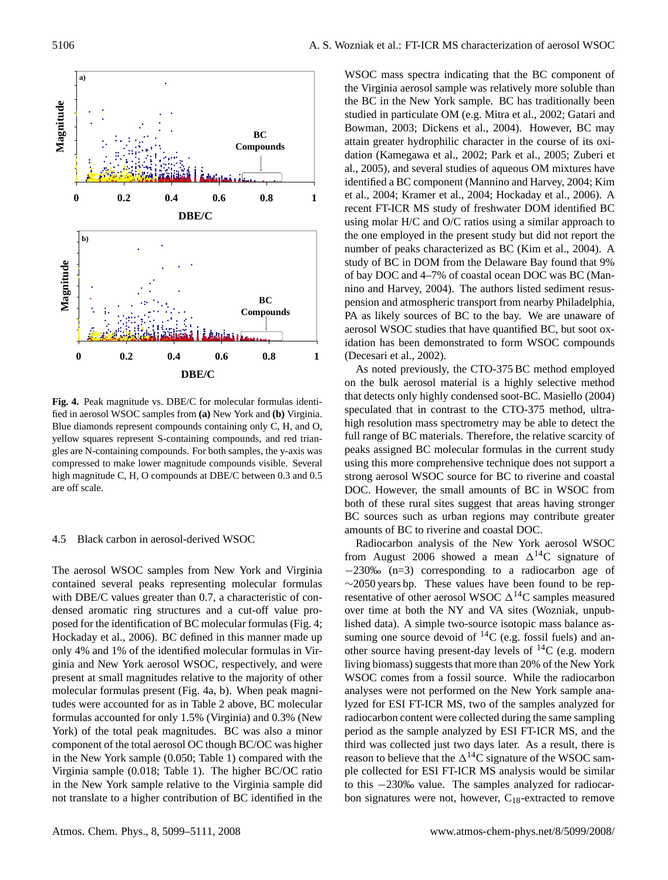

**Fig. 4.** Peak magnitude vs. DBE/C for molecular formulas identified in aerosol WSOC samples from **(a)** New York and **(b)** Virginia. Blue diamonds represent compounds containing only C, H, and O, yellow squares represent S-containing compounds, and red triangles are N-containing compounds. For both samples, the y-axis was compressed to make lower magnitude compounds visible. Several high magnitude C, H, O compounds at DBE/C between 0.3 and 0.5 are off scale.

## 4.5 Black carbon in aerosol-derived WSOC

The aerosol WSOC samples from New York and Virginia contained several peaks representing molecular formulas with DBE/C values greater than 0.7, a characteristic of condensed aromatic ring structures and a cut-off value proposed for the identification of BC molecular formulas (Fig. 4; Hockaday et al., 2006). BC defined in this manner made up only 4% and 1% of the identified molecular formulas in Virginia and New York aerosol WSOC, respectively, and were present at small magnitudes relative to the majority of other molecular formulas present (Fig. 4a, b). When peak magnitudes were accounted for as in Table 2 above, BC molecular formulas accounted for only 1.5% (Virginia) and 0.3% (New York) of the total peak magnitudes. BC was also a minor component of the total aerosol OC though BC/OC was higher in the New York sample (0.050; Table 1) compared with the Virginia sample (0.018; Table 1). The higher BC/OC ratio in the New York sample relative to the Virginia sample did not translate to a higher contribution of BC identified in the

WSOC mass spectra indicating that the BC component of the Virginia aerosol sample was relatively more soluble than the BC in the New York sample. BC has traditionally been studied in particulate OM (e.g. Mitra et al., 2002; Gatari and Bowman, 2003; Dickens et al., 2004). However, BC may attain greater hydrophilic character in the course of its oxidation (Kamegawa et al., 2002; Park et al., 2005; Zuberi et al., 2005), and several studies of aqueous OM mixtures have identified a BC component (Mannino and Harvey, 2004; Kim et al., 2004; Kramer et al., 2004; Hockaday et al., 2006). A recent FT-ICR MS study of freshwater DOM identified BC using molar H/C and O/C ratios using a similar approach to the one employed in the present study but did not report the number of peaks characterized as BC (Kim et al., 2004). A study of BC in DOM from the Delaware Bay found that 9% of bay DOC and 4–7% of coastal ocean DOC was BC (Mannino and Harvey, 2004). The authors listed sediment resuspension and atmospheric transport from nearby Philadelphia, PA as likely sources of BC to the bay. We are unaware of aerosol WSOC studies that have quantified BC, but soot oxidation has been demonstrated to form WSOC compounds (Decesari et al., 2002).

As noted previously, the CTO-375 BC method employed on the bulk aerosol material is a highly selective method that detects only highly condensed soot-BC. Masiello (2004) speculated that in contrast to the CTO-375 method, ultrahigh resolution mass spectrometry may be able to detect the full range of BC materials. Therefore, the relative scarcity of peaks assigned BC molecular formulas in the current study using this more comprehensive technique does not support a strong aerosol WSOC source for BC to riverine and coastal DOC. However, the small amounts of BC in WSOC from both of these rural sites suggest that areas having stronger BC sources such as urban regions may contribute greater amounts of BC to riverine and coastal DOC.

38 −230‰ (n=3) corresponding to a radiocarbon age of Radiocarbon analysis of the New York aerosol WSOC from August 2006 showed a mean  $\Delta^{14}$ C signature of  $\sim$ 2050 years bp. These values have been found to be representative of other aerosol WSOC  $\Delta^{14}$ C samples measured over time at both the NY and VA sites (Wozniak, unpublished data). A simple two-source isotopic mass balance assuming one source devoid of  ${}^{14}C$  (e.g. fossil fuels) and another source having present-day levels of  $^{14}C$  (e.g. modern living biomass) suggests that more than 20% of the New York WSOC comes from a fossil source. While the radiocarbon analyses were not performed on the New York sample analyzed for ESI FT-ICR MS, two of the samples analyzed for radiocarbon content were collected during the same sampling period as the sample analyzed by ESI FT-ICR MS, and the third was collected just two days later. As a result, there is reason to believe that the  $\Delta^{14}$ C signature of the WSOC sample collected for ESI FT-ICR MS analysis would be similar to this −230‰ value. The samples analyzed for radiocarbon signatures were not, however,  $C_{18}$ -extracted to remove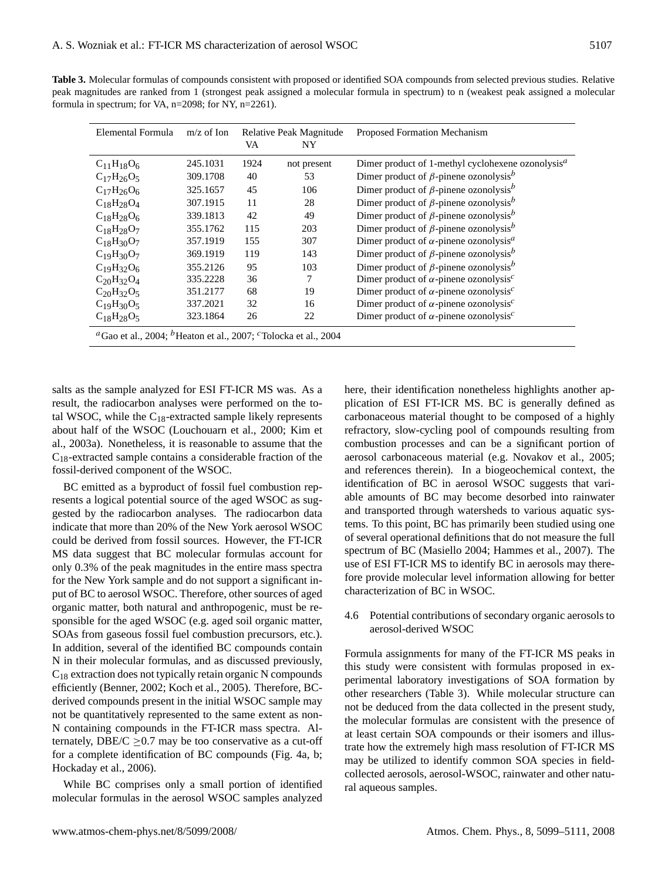**Table 3.** Molecular formulas of compounds consistent with proposed or identified SOA compounds from selected previous studies. Relative peak magnitudes are ranked from 1 (strongest peak assigned a molecular formula in spectrum) to n (weakest peak assigned a molecular formula in spectrum; for VA, n=2098; for NY, n=2261).

| Elemental Formula                                                                                                       | $m/z$ of Ion | <b>Relative Peak Magnitude</b> |             | Proposed Formation Mechanism                                     |  |  |
|-------------------------------------------------------------------------------------------------------------------------|--------------|--------------------------------|-------------|------------------------------------------------------------------|--|--|
|                                                                                                                         |              | VA                             | NY          |                                                                  |  |  |
| $C_{11}H_{18}O_6$                                                                                                       | 245.1031     | 1924                           | not present | Dimer product of 1-methyl cyclohexene ozonolysis $^a$            |  |  |
| $C_{17}H_{26}O_5$                                                                                                       | 309.1708     | 40                             | 53          | Dimer product of $\beta$ -pinene ozonolysis <sup>b</sup>         |  |  |
| $C_{17}H_{26}O_6$                                                                                                       | 325.1657     | 45                             | 106         | Dimer product of $\beta$ -pinene ozonolysis <sup>b</sup>         |  |  |
| $C_{18}H_{28}O_4$                                                                                                       | 307.1915     | 11                             | 28          | Dimer product of $\beta$ -pinene ozonolysis <sup>b</sup>         |  |  |
| $C_{18}H_{28}O_6$                                                                                                       | 339.1813     | 42                             | 49          | Dimer product of $\beta$ -pinene ozonolysis <sup>b</sup>         |  |  |
| $C_{18}H_{28}O_7$                                                                                                       | 355.1762     | 115                            | 203         | Dimer product of $\beta$ -pinene ozonolysis <sup>b</sup>         |  |  |
| $C_{18}H_{30}O_7$                                                                                                       | 357.1919     | 155                            | 307         | Dimer product of $\alpha$ -pinene ozonolysis <sup><i>a</i></sup> |  |  |
| $C_{19}H_{30}O_7$                                                                                                       | 369.1919     | 119                            | 143         | Dimer product of $\beta$ -pinene ozonolysis <sup>b</sup>         |  |  |
| $C_{19}H_{32}O_6$                                                                                                       | 355.2126     | 95                             | 103         | Dimer product of $\beta$ -pinene ozonolysis <sup>b</sup>         |  |  |
| $C_{20}H_{32}O_4$                                                                                                       | 335.2228     | 36                             | 7           | Dimer product of $\alpha$ -pinene ozonolysis <sup>c</sup>        |  |  |
| $C_{20}H_{32}O_5$                                                                                                       | 351.2177     | 68                             | 19          | Dimer product of $\alpha$ -pinene ozonolysis <sup>c</sup>        |  |  |
| $C_{19}H_{30}O_5$                                                                                                       | 337.2021     | 32                             | 16          | Dimer product of $\alpha$ -pinene ozonolysis <sup>c</sup>        |  |  |
| $C_{18}H_{28}O_5$                                                                                                       | 323.1864     | 26                             | 22          | Dimer product of $\alpha$ -pinene ozonolysis <sup>c</sup>        |  |  |
| <sup><i>a</i></sup> Gao et al., 2004; <sup><i>b</i></sup> Heaton et al., 2007; <sup><i>c</i></sup> Tolocka et al., 2004 |              |                                |             |                                                                  |  |  |

salts as the sample analyzed for ESI FT-ICR MS was. As a result, the radiocarbon analyses were performed on the total WSOC, while the  $C_{18}$ -extracted sample likely represents about half of the WSOC (Louchouarn et al., 2000; Kim et al., 2003a). Nonetheless, it is reasonable to assume that the C18-extracted sample contains a considerable fraction of the fossil-derived component of the WSOC.

BC emitted as a byproduct of fossil fuel combustion represents a logical potential source of the aged WSOC as suggested by the radiocarbon analyses. The radiocarbon data indicate that more than 20% of the New York aerosol WSOC could be derived from fossil sources. However, the FT-ICR MS data suggest that BC molecular formulas account for only 0.3% of the peak magnitudes in the entire mass spectra for the New York sample and do not support a significant input of BC to aerosol WSOC. Therefore, other sources of aged organic matter, both natural and anthropogenic, must be responsible for the aged WSOC (e.g. aged soil organic matter, SOAs from gaseous fossil fuel combustion precursors, etc.). In addition, several of the identified BC compounds contain N in their molecular formulas, and as discussed previously, C<sup>18</sup> extraction does not typically retain organic N compounds efficiently (Benner, 2002; Koch et al., 2005). Therefore, BCderived compounds present in the initial WSOC sample may not be quantitatively represented to the same extent as non-N containing compounds in the FT-ICR mass spectra. Alternately, DBE/C  $\geq$  0.7 may be too conservative as a cut-off for a complete identification of BC compounds (Fig. 4a, b; Hockaday et al., 2006).

While BC comprises only a small portion of identified molecular formulas in the aerosol WSOC samples analyzed here, their identification nonetheless highlights another application of ESI FT-ICR MS. BC is generally defined as carbonaceous material thought to be composed of a highly refractory, slow-cycling pool of compounds resulting from combustion processes and can be a significant portion of aerosol carbonaceous material (e.g. Novakov et al., 2005; and references therein). In a biogeochemical context, the identification of BC in aerosol WSOC suggests that variable amounts of BC may become desorbed into rainwater and transported through watersheds to various aquatic systems. To this point, BC has primarily been studied using one of several operational definitions that do not measure the full spectrum of BC (Masiello 2004; Hammes et al., 2007). The use of ESI FT-ICR MS to identify BC in aerosols may therefore provide molecular level information allowing for better characterization of BC in WSOC.

4.6 Potential contributions of secondary organic aerosols to aerosol-derived WSOC

Formula assignments for many of the FT-ICR MS peaks in this study were consistent with formulas proposed in experimental laboratory investigations of SOA formation by other researchers (Table 3). While molecular structure can not be deduced from the data collected in the present study, the molecular formulas are consistent with the presence of at least certain SOA compounds or their isomers and illustrate how the extremely high mass resolution of FT-ICR MS may be utilized to identify common SOA species in fieldcollected aerosols, aerosol-WSOC, rainwater and other natural aqueous samples.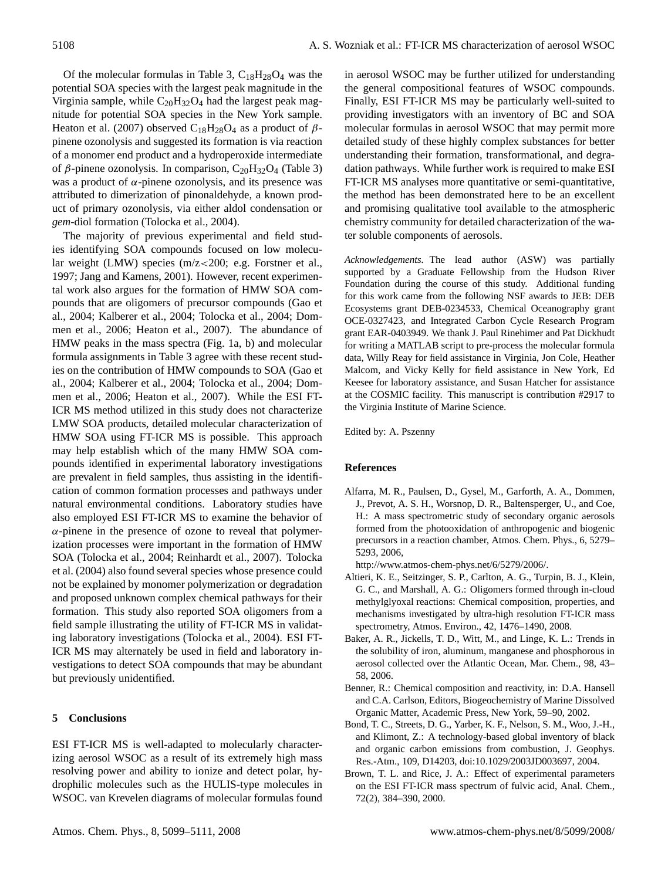Of the molecular formulas in Table 3,  $C_{18}H_{28}O_4$  was the potential SOA species with the largest peak magnitude in the Virginia sample, while  $C_{20}H_{32}O_4$  had the largest peak magnitude for potential SOA species in the New York sample. Heaton et al. (2007) observed  $C_{18}H_{28}O_4$  as a product of  $\beta$ pinene ozonolysis and suggested its formation is via reaction of a monomer end product and a hydroperoxide intermediate of  $\beta$ -pinene ozonolysis. In comparison, C<sub>20</sub>H<sub>32</sub>O<sub>4</sub> (Table 3) was a product of  $\alpha$ -pinene ozonolysis, and its presence was attributed to dimerization of pinonaldehyde, a known product of primary ozonolysis, via either aldol condensation or *gem*-diol formation (Tolocka et al., 2004).

The majority of previous experimental and field studies identifying SOA compounds focused on low molecular weight (LMW) species (m/z<200; e.g. Forstner et al., 1997; Jang and Kamens, 2001). However, recent experimental work also argues for the formation of HMW SOA compounds that are oligomers of precursor compounds (Gao et al., 2004; Kalberer et al., 2004; Tolocka et al., 2004; Dommen et al., 2006; Heaton et al., 2007). The abundance of HMW peaks in the mass spectra (Fig. 1a, b) and molecular formula assignments in Table 3 agree with these recent studies on the contribution of HMW compounds to SOA (Gao et al., 2004; Kalberer et al., 2004; Tolocka et al., 2004; Dommen et al., 2006; Heaton et al., 2007). While the ESI FT-ICR MS method utilized in this study does not characterize LMW SOA products, detailed molecular characterization of HMW SOA using FT-ICR MS is possible. This approach may help establish which of the many HMW SOA compounds identified in experimental laboratory investigations are prevalent in field samples, thus assisting in the identification of common formation processes and pathways under natural environmental conditions. Laboratory studies have also employed ESI FT-ICR MS to examine the behavior of  $\alpha$ -pinene in the presence of ozone to reveal that polymerization processes were important in the formation of HMW SOA (Tolocka et al., 2004; Reinhardt et al., 2007). Tolocka et al. (2004) also found several species whose presence could not be explained by monomer polymerization or degradation and proposed unknown complex chemical pathways for their formation. This study also reported SOA oligomers from a field sample illustrating the utility of FT-ICR MS in validating laboratory investigations (Tolocka et al., 2004). ESI FT-ICR MS may alternately be used in field and laboratory investigations to detect SOA compounds that may be abundant but previously unidentified.

## **5 Conclusions**

ESI FT-ICR MS is well-adapted to molecularly characterizing aerosol WSOC as a result of its extremely high mass resolving power and ability to ionize and detect polar, hydrophilic molecules such as the HULIS-type molecules in WSOC. van Krevelen diagrams of molecular formulas found in aerosol WSOC may be further utilized for understanding the general compositional features of WSOC compounds. Finally, ESI FT-ICR MS may be particularly well-suited to providing investigators with an inventory of BC and SOA molecular formulas in aerosol WSOC that may permit more detailed study of these highly complex substances for better understanding their formation, transformational, and degradation pathways. While further work is required to make ESI FT-ICR MS analyses more quantitative or semi-quantitative, the method has been demonstrated here to be an excellent and promising qualitative tool available to the atmospheric chemistry community for detailed characterization of the water soluble components of aerosols.

*Acknowledgements.* The lead author (ASW) was partially supported by a Graduate Fellowship from the Hudson River Foundation during the course of this study. Additional funding for this work came from the following NSF awards to JEB: DEB Ecosystems grant DEB-0234533, Chemical Oceanography grant OCE-0327423, and Integrated Carbon Cycle Research Program grant EAR-0403949. We thank J. Paul Rinehimer and Pat Dickhudt for writing a MATLAB script to pre-process the molecular formula data, Willy Reay for field assistance in Virginia, Jon Cole, Heather Malcom, and Vicky Kelly for field assistance in New York, Ed Keesee for laboratory assistance, and Susan Hatcher for assistance at the COSMIC facility. This manuscript is contribution #2917 to the Virginia Institute of Marine Science.

Edited by: A. Pszenny

#### **References**

Alfarra, M. R., Paulsen, D., Gysel, M., Garforth, A. A., Dommen, J., Prevot, A. S. H., Worsnop, D. R., Baltensperger, U., and Coe, H.: A mass spectrometric study of secondary organic aerosols formed from the photooxidation of anthropogenic and biogenic precursors in a reaction chamber, Atmos. Chem. Phys., 6, 5279– 5293, 2006,

[http://www.atmos-chem-phys.net/6/5279/2006/.](http://www.atmos-chem-phys.net/6/5279/2006/)

- Altieri, K. E., Seitzinger, S. P., Carlton, A. G., Turpin, B. J., Klein, G. C., and Marshall, A. G.: Oligomers formed through in-cloud methylglyoxal reactions: Chemical composition, properties, and mechanisms investigated by ultra-high resolution FT-ICR mass spectrometry, Atmos. Environ., 42, 1476–1490, 2008.
- Baker, A. R., Jickells, T. D., Witt, M., and Linge, K. L.: Trends in the solubility of iron, aluminum, manganese and phosphorous in aerosol collected over the Atlantic Ocean, Mar. Chem., 98, 43– 58, 2006.
- Benner, R.: Chemical composition and reactivity, in: D.A. Hansell and C.A. Carlson, Editors, Biogeochemistry of Marine Dissolved Organic Matter, Academic Press, New York, 59–90, 2002.
- Bond, T. C., Streets, D. G., Yarber, K. F., Nelson, S. M., Woo, J.-H., and Klimont, Z.: A technology-based global inventory of black and organic carbon emissions from combustion, J. Geophys. Res.-Atm., 109, D14203, doi:10.1029/2003JD003697, 2004.
- Brown, T. L. and Rice, J. A.: Effect of experimental parameters on the ESI FT-ICR mass spectrum of fulvic acid, Anal. Chem., 72(2), 384–390, 2000.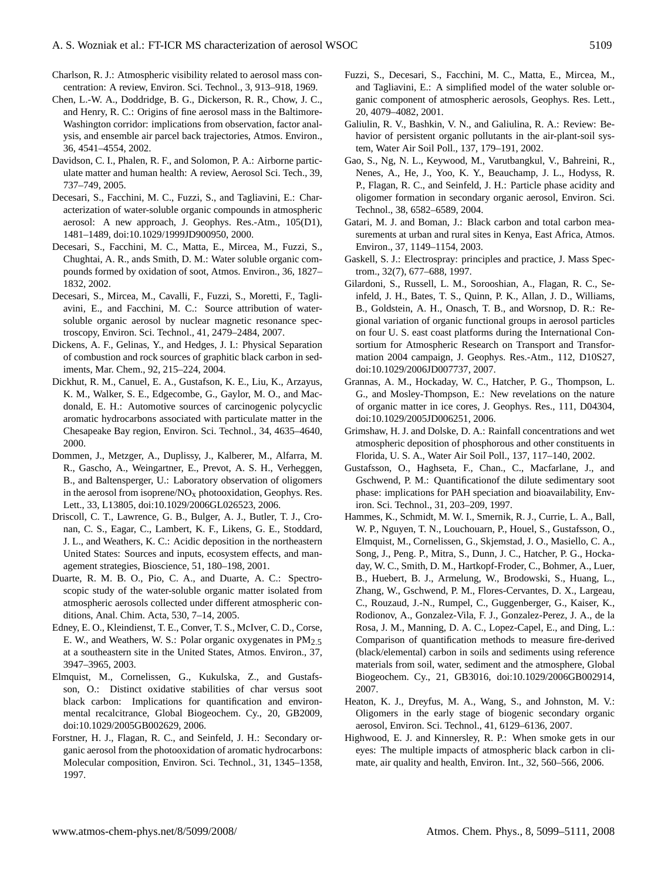- Charlson, R. J.: Atmospheric visibility related to aerosol mass concentration: A review, Environ. Sci. Technol., 3, 913–918, 1969.
- Chen, L.-W. A., Doddridge, B. G., Dickerson, R. R., Chow, J. C., and Henry, R. C.: Origins of fine aerosol mass in the Baltimore-Washington corridor: implications from observation, factor analysis, and ensemble air parcel back trajectories, Atmos. Environ., 36, 4541–4554, 2002.
- Davidson, C. I., Phalen, R. F., and Solomon, P. A.: Airborne particulate matter and human health: A review, Aerosol Sci. Tech., 39, 737–749, 2005.
- Decesari, S., Facchini, M. C., Fuzzi, S., and Tagliavini, E.: Characterization of water-soluble organic compounds in atmospheric aerosol: A new approach, J. Geophys. Res.-Atm., 105(D1), 1481–1489, doi:10.1029/1999JD900950, 2000.
- Decesari, S., Facchini, M. C., Matta, E., Mircea, M., Fuzzi, S., Chughtai, A. R., ands Smith, D. M.: Water soluble organic compounds formed by oxidation of soot, Atmos. Environ., 36, 1827– 1832, 2002.
- Decesari, S., Mircea, M., Cavalli, F., Fuzzi, S., Moretti, F., Tagliavini, E., and Facchini, M. C.: Source attribution of watersoluble organic aerosol by nuclear magnetic resonance spectroscopy, Environ. Sci. Technol., 41, 2479–2484, 2007.
- Dickens, A. F., Gelinas, Y., and Hedges, J. I.: Physical Separation of combustion and rock sources of graphitic black carbon in sediments, Mar. Chem., 92, 215–224, 2004.
- Dickhut, R. M., Canuel, E. A., Gustafson, K. E., Liu, K., Arzayus, K. M., Walker, S. E., Edgecombe, G., Gaylor, M. O., and Macdonald, E. H.: Automotive sources of carcinogenic polycyclic aromatic hydrocarbons associated with particulate matter in the Chesapeake Bay region, Environ. Sci. Technol., 34, 4635–4640, 2000.
- Dommen, J., Metzger, A., Duplissy, J., Kalberer, M., Alfarra, M. R., Gascho, A., Weingartner, E., Prevot, A. S. H., Verheggen, B., and Baltensperger, U.: Laboratory observation of oligomers in the aerosol from isoprene/ $NO<sub>x</sub>$  photooxidation, Geophys. Res. Lett., 33, L13805, doi:10.1029/2006GL026523, 2006.
- Driscoll, C. T., Lawrence, G. B., Bulger, A. J., Butler, T. J., Cronan, C. S., Eagar, C., Lambert, K. F., Likens, G. E., Stoddard, J. L., and Weathers, K. C.: Acidic deposition in the northeastern United States: Sources and inputs, ecosystem effects, and management strategies, Bioscience, 51, 180–198, 2001.
- Duarte, R. M. B. O., Pio, C. A., and Duarte, A. C.: Spectroscopic study of the water-soluble organic matter isolated from atmospheric aerosols collected under different atmospheric conditions, Anal. Chim. Acta, 530, 7–14, 2005.
- Edney, E. O., Kleindienst, T. E., Conver, T. S., McIver, C. D., Corse, E. W., and Weathers, W. S.: Polar organic oxygenates in  $PM_{2.5}$ at a southeastern site in the United States, Atmos. Environ., 37, 3947–3965, 2003.
- Elmquist, M., Cornelissen, G., Kukulska, Z., and Gustafsson, O.: Distinct oxidative stabilities of char versus soot black carbon: Implications for quantification and environmental recalcitrance, Global Biogeochem. Cy., 20, GB2009, doi:10.1029/2005GB002629, 2006.
- Forstner, H. J., Flagan, R. C., and Seinfeld, J. H.: Secondary organic aerosol from the photooxidation of aromatic hydrocarbons: Molecular composition, Environ. Sci. Technol., 31, 1345–1358, 1997.
- Fuzzi, S., Decesari, S., Facchini, M. C., Matta, E., Mircea, M., and Tagliavini, E.: A simplified model of the water soluble organic component of atmospheric aerosols, Geophys. Res. Lett., 20, 4079–4082, 2001.
- Galiulin, R. V., Bashkin, V. N., and Galiulina, R. A.: Review: Behavior of persistent organic pollutants in the air-plant-soil system, Water Air Soil Poll., 137, 179–191, 2002.
- Gao, S., Ng, N. L., Keywood, M., Varutbangkul, V., Bahreini, R., Nenes, A., He, J., Yoo, K. Y., Beauchamp, J. L., Hodyss, R. P., Flagan, R. C., and Seinfeld, J. H.: Particle phase acidity and oligomer formation in secondary organic aerosol, Environ. Sci. Technol., 38, 6582–6589, 2004.
- Gatari, M. J. and Boman, J.: Black carbon and total carbon measurements at urban and rural sites in Kenya, East Africa, Atmos. Environ., 37, 1149–1154, 2003.
- Gaskell, S. J.: Electrospray: principles and practice, J. Mass Spectrom., 32(7), 677–688, 1997.
- Gilardoni, S., Russell, L. M., Sorooshian, A., Flagan, R. C., Seinfeld, J. H., Bates, T. S., Quinn, P. K., Allan, J. D., Williams, B., Goldstein, A. H., Onasch, T. B., and Worsnop, D. R.: Regional variation of organic functional groups in aerosol particles on four U. S. east coast platforms during the International Consortium for Atmospheric Research on Transport and Transformation 2004 campaign, J. Geophys. Res.-Atm., 112, D10S27, doi:10.1029/2006JD007737, 2007.
- Grannas, A. M., Hockaday, W. C., Hatcher, P. G., Thompson, L. G., and Mosley-Thompson, E.: New revelations on the nature of organic matter in ice cores, J. Geophys. Res., 111, D04304, doi:10.1029/2005JD006251, 2006.
- Grimshaw, H. J. and Dolske, D. A.: Rainfall concentrations and wet atmospheric deposition of phosphorous and other constituents in Florida, U. S. A., Water Air Soil Poll., 137, 117–140, 2002.
- Gustafsson, O., Haghseta, F., Chan., C., Macfarlane, J., and Gschwend, P. M.: Quantificationof the dilute sedimentary soot phase: implications for PAH speciation and bioavailability, Environ. Sci. Technol., 31, 203–209, 1997.
- Hammes, K., Schmidt, M. W. I., Smernik, R. J., Currie, L. A., Ball, W. P., Nguyen, T. N., Louchouarn, P., Houel, S., Gustafsson, O., Elmquist, M., Cornelissen, G., Skjemstad, J. O., Masiello, C. A., Song, J., Peng. P., Mitra, S., Dunn, J. C., Hatcher, P. G., Hockaday, W. C., Smith, D. M., Hartkopf-Froder, C., Bohmer, A., Luer, B., Huebert, B. J., Armelung, W., Brodowski, S., Huang, L., Zhang, W., Gschwend, P. M., Flores-Cervantes, D. X., Largeau, C., Rouzaud, J.-N., Rumpel, C., Guggenberger, G., Kaiser, K., Rodionov, A., Gonzalez-Vila, F. J., Gonzalez-Perez, J. A., de la Rosa, J. M., Manning, D. A. C., Lopez-Capel, E., and Ding, L.: Comparison of quantification methods to measure fire-derived (black/elemental) carbon in soils and sediments using reference materials from soil, water, sediment and the atmosphere, Global Biogeochem. Cy., 21, GB3016, doi:10.1029/2006GB002914, 2007.
- Heaton, K. J., Dreyfus, M. A., Wang, S., and Johnston, M. V.: Oligomers in the early stage of biogenic secondary organic aerosol, Environ. Sci. Technol., 41, 6129–6136, 2007.
- Highwood, E. J. and Kinnersley, R. P.: When smoke gets in our eyes: The multiple impacts of atmospheric black carbon in climate, air quality and health, Environ. Int., 32, 560–566, 2006.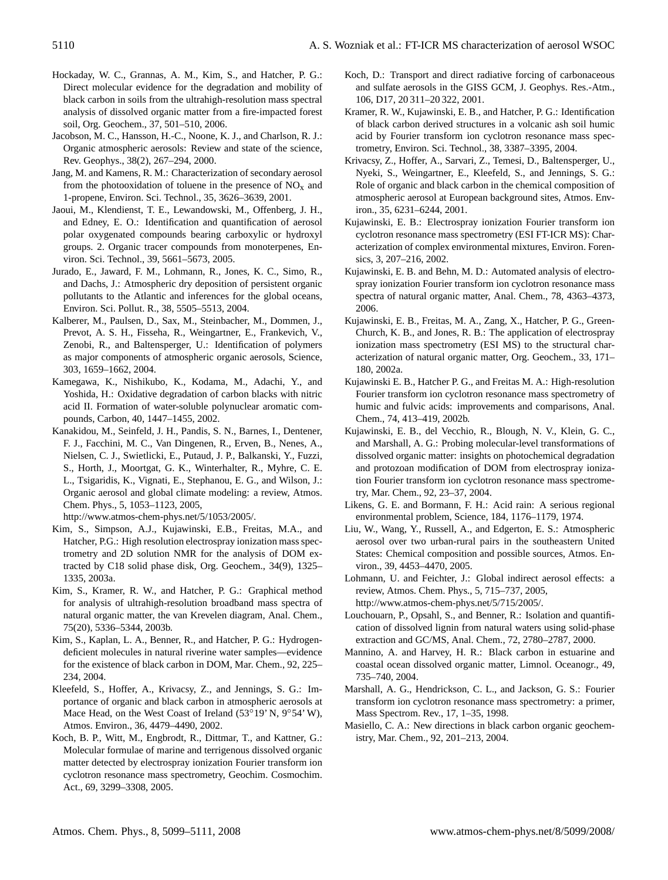- Hockaday, W. C., Grannas, A. M., Kim, S., and Hatcher, P. G.: Direct molecular evidence for the degradation and mobility of black carbon in soils from the ultrahigh-resolution mass spectral analysis of dissolved organic matter from a fire-impacted forest soil, Org. Geochem., 37, 501–510, 2006.
- Jacobson, M. C., Hansson, H.-C., Noone, K. J., and Charlson, R. J.: Organic atmospheric aerosols: Review and state of the science, Rev. Geophys., 38(2), 267–294, 2000.
- Jang, M. and Kamens, R. M.: Characterization of secondary aerosol from the photooxidation of toluene in the presence of  $NO<sub>x</sub>$  and 1-propene, Environ. Sci. Technol., 35, 3626–3639, 2001.
- Jaoui, M., Klendienst, T. E., Lewandowski, M., Offenberg, J. H., and Edney, E. O.: Identification and quantification of aerosol polar oxygenated compounds bearing carboxylic or hydroxyl groups. 2. Organic tracer compounds from monoterpenes, Environ. Sci. Technol., 39, 5661–5673, 2005.
- Jurado, E., Jaward, F. M., Lohmann, R., Jones, K. C., Simo, R., and Dachs, J.: Atmospheric dry deposition of persistent organic pollutants to the Atlantic and inferences for the global oceans, Environ. Sci. Pollut. R., 38, 5505–5513, 2004.
- Kalberer, M., Paulsen, D., Sax, M., Steinbacher, M., Dommen, J., Prevot, A. S. H., Fisseha, R., Weingartner, E., Frankevich, V., Zenobi, R., and Baltensperger, U.: Identification of polymers as major components of atmospheric organic aerosols, Science, 303, 1659–1662, 2004.
- Kamegawa, K., Nishikubo, K., Kodama, M., Adachi, Y., and Yoshida, H.: Oxidative degradation of carbon blacks with nitric acid II. Formation of water-soluble polynuclear aromatic compounds, Carbon, 40, 1447–1455, 2002.
- Kanakidou, M., Seinfeld, J. H., Pandis, S. N., Barnes, I., Dentener, F. J., Facchini, M. C., Van Dingenen, R., Erven, B., Nenes, A., Nielsen, C. J., Swietlicki, E., Putaud, J. P., Balkanski, Y., Fuzzi, S., Horth, J., Moortgat, G. K., Winterhalter, R., Myhre, C. E. L., Tsigaridis, K., Vignati, E., Stephanou, E. G., and Wilson, J.: Organic aerosol and global climate modeling: a review, Atmos. Chem. Phys., 5, 1053–1123, 2005,

[http://www.atmos-chem-phys.net/5/1053/2005/.](http://www.atmos-chem-phys.net/5/1053/2005/)

- Kim, S., Simpson, A.J., Kujawinski, E.B., Freitas, M.A., and Hatcher, P.G.: High resolution electrospray ionization mass spectrometry and 2D solution NMR for the analysis of DOM extracted by C18 solid phase disk, Org. Geochem., 34(9), 1325– 1335, 2003a.
- Kim, S., Kramer, R. W., and Hatcher, P. G.: Graphical method for analysis of ultrahigh-resolution broadband mass spectra of natural organic matter, the van Krevelen diagram, Anal. Chem., 75(20), 5336–5344, 2003b.
- Kim, S., Kaplan, L. A., Benner, R., and Hatcher, P. G.: Hydrogendeficient molecules in natural riverine water samples—evidence for the existence of black carbon in DOM, Mar. Chem., 92, 225– 234, 2004.
- Kleefeld, S., Hoffer, A., Krivacsy, Z., and Jennings, S. G.: Importance of organic and black carbon in atmospheric aerosols at Mace Head, on the West Coast of Ireland (53◦19' N, 9◦54' W), Atmos. Environ., 36, 4479–4490, 2002.
- Koch, B. P., Witt, M., Engbrodt, R., Dittmar, T., and Kattner, G.: Molecular formulae of marine and terrigenous dissolved organic matter detected by electrospray ionization Fourier transform ion cyclotron resonance mass spectrometry, Geochim. Cosmochim. Act., 69, 3299–3308, 2005.
- Koch, D.: Transport and direct radiative forcing of carbonaceous and sulfate aerosols in the GISS GCM, J. Geophys. Res.-Atm., 106, D17, 20 311–20 322, 2001.
- Kramer, R. W., Kujawinski, E. B., and Hatcher, P. G.: Identification of black carbon derived structures in a volcanic ash soil humic acid by Fourier transform ion cyclotron resonance mass spectrometry, Environ. Sci. Technol., 38, 3387–3395, 2004.
- Krivacsy, Z., Hoffer, A., Sarvari, Z., Temesi, D., Baltensperger, U., Nyeki, S., Weingartner, E., Kleefeld, S., and Jennings, S. G.: Role of organic and black carbon in the chemical composition of atmospheric aerosol at European background sites, Atmos. Environ., 35, 6231–6244, 2001.
- Kujawinski, E. B.: Electrospray ionization Fourier transform ion cyclotron resonance mass spectrometry (ESI FT-ICR MS): Characterization of complex environmental mixtures, Environ. Forensics, 3, 207–216, 2002.
- Kujawinski, E. B. and Behn, M. D.: Automated analysis of electrospray ionization Fourier transform ion cyclotron resonance mass spectra of natural organic matter, Anal. Chem., 78, 4363–4373, 2006.
- Kujawinski, E. B., Freitas, M. A., Zang, X., Hatcher, P. G., Green-Church, K. B., and Jones, R. B.: The application of electrospray ionization mass spectrometry (ESI MS) to the structural characterization of natural organic matter, Org. Geochem., 33, 171– 180, 2002a.
- Kujawinski E. B., Hatcher P. G., and Freitas M. A.: High-resolution Fourier transform ion cyclotron resonance mass spectrometry of humic and fulvic acids: improvements and comparisons, Anal. Chem., 74, 413–419, 2002b.
- Kujawinski, E. B., del Vecchio, R., Blough, N. V., Klein, G. C., and Marshall, A. G.: Probing molecular-level transformations of dissolved organic matter: insights on photochemical degradation and protozoan modification of DOM from electrospray ionization Fourier transform ion cyclotron resonance mass spectrometry, Mar. Chem., 92, 23–37, 2004.
- Likens, G. E. and Bormann, F. H.: Acid rain: A serious regional environmental problem, Science, 184, 1176–1179, 1974.
- Liu, W., Wang, Y., Russell, A., and Edgerton, E. S.: Atmospheric aerosol over two urban-rural pairs in the southeastern United States: Chemical composition and possible sources, Atmos. Environ., 39, 4453–4470, 2005.
- Lohmann, U. and Feichter, J.: Global indirect aerosol effects: a review, Atmos. Chem. Phys., 5, 715–737, 2005, [http://www.atmos-chem-phys.net/5/715/2005/.](http://www.atmos-chem-phys.net/5/715/2005/)
- Louchouarn, P., Opsahl, S., and Benner, R.: Isolation and quantification of dissolved lignin from natural waters using solid-phase extraction and GC/MS, Anal. Chem., 72, 2780–2787, 2000.
- Mannino, A. and Harvey, H. R.: Black carbon in estuarine and coastal ocean dissolved organic matter, Limnol. Oceanogr., 49, 735–740, 2004.
- Marshall, A. G., Hendrickson, C. L., and Jackson, G. S.: Fourier transform ion cyclotron resonance mass spectrometry: a primer, Mass Spectrom. Rev., 17, 1–35, 1998.
- Masiello, C. A.: New directions in black carbon organic geochemistry, Mar. Chem., 92, 201–213, 2004.